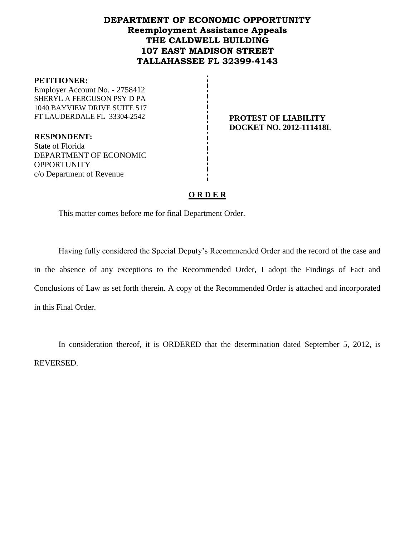## **DEPARTMENT OF ECONOMIC OPPORTUNITY Reemployment Assistance Appeals THE CALDWELL BUILDING 107 EAST MADISON STREET TALLAHASSEE FL 32399-4143**

#### **PETITIONER:**

Employer Account No. - 2758412 SHERYL A FERGUSON PSY D PA 1040 BAYVIEW DRIVE SUITE 517 FT LAUDERDALE FL 33304-2542 **PROTEST OF LIABILITY**

**DOCKET NO. 2012-111418L**

**RESPONDENT:** State of Florida DEPARTMENT OF ECONOMIC **OPPORTUNITY** c/o Department of Revenue

## **O R D E R**

This matter comes before me for final Department Order.

Having fully considered the Special Deputy's Recommended Order and the record of the case and in the absence of any exceptions to the Recommended Order, I adopt the Findings of Fact and Conclusions of Law as set forth therein. A copy of the Recommended Order is attached and incorporated in this Final Order.

In consideration thereof, it is ORDERED that the determination dated September 5, 2012, is REVERSED.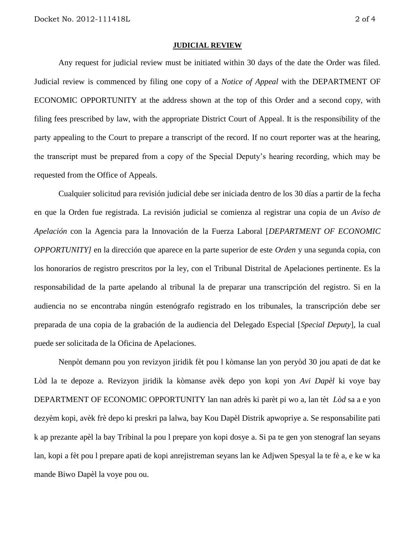#### **JUDICIAL REVIEW**

Any request for judicial review must be initiated within 30 days of the date the Order was filed. Judicial review is commenced by filing one copy of a *Notice of Appeal* with the DEPARTMENT OF ECONOMIC OPPORTUNITY at the address shown at the top of this Order and a second copy, with filing fees prescribed by law, with the appropriate District Court of Appeal. It is the responsibility of the party appealing to the Court to prepare a transcript of the record. If no court reporter was at the hearing, the transcript must be prepared from a copy of the Special Deputy's hearing recording, which may be requested from the Office of Appeals.

Cualquier solicitud para revisión judicial debe ser iniciada dentro de los 30 días a partir de la fecha en que la Orden fue registrada. La revisión judicial se comienza al registrar una copia de un *Aviso de Apelación* con la Agencia para la Innovación de la Fuerza Laboral [*DEPARTMENT OF ECONOMIC OPPORTUNITY]* en la dirección que aparece en la parte superior de este *Orden* y una segunda copia, con los honorarios de registro prescritos por la ley, con el Tribunal Distrital de Apelaciones pertinente. Es la responsabilidad de la parte apelando al tribunal la de preparar una transcripción del registro. Si en la audiencia no se encontraba ningún estenógrafo registrado en los tribunales, la transcripción debe ser preparada de una copia de la grabación de la audiencia del Delegado Especial [*Special Deputy*], la cual puede ser solicitada de la Oficina de Apelaciones.

Nenpòt demann pou yon revizyon jiridik fèt pou l kòmanse lan yon peryòd 30 jou apati de dat ke Lòd la te depoze a. Revizyon jiridik la kòmanse avèk depo yon kopi yon *Avi Dapèl* ki voye bay DEPARTMENT OF ECONOMIC OPPORTUNITY lan nan adrès ki parèt pi wo a, lan tèt *Lòd* sa a e yon dezyèm kopi, avèk frè depo ki preskri pa lalwa, bay Kou Dapèl Distrik apwopriye a. Se responsabilite pati k ap prezante apèl la bay Tribinal la pou l prepare yon kopi dosye a. Si pa te gen yon stenograf lan seyans lan, kopi a fèt pou l prepare apati de kopi anrejistreman seyans lan ke Adjwen Spesyal la te fè a, e ke w ka mande Biwo Dapèl la voye pou ou.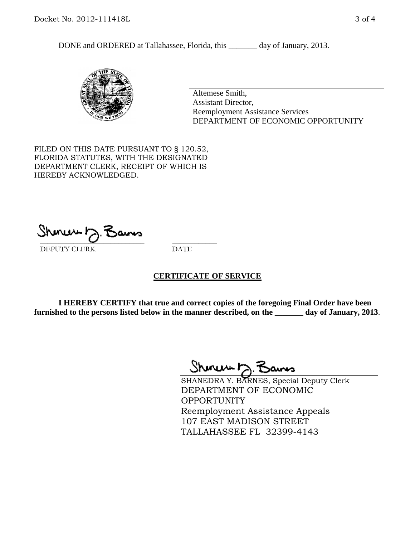DONE and ORDERED at Tallahassee, Florida, this \_\_\_\_\_\_\_ day of January, 2013.



Altemese Smith, Assistant Director, Reemployment Assistance Services DEPARTMENT OF ECONOMIC OPPORTUNITY

FILED ON THIS DATE PURSUANT TO § 120.52, FLORIDA STATUTES, WITH THE DESIGNATED DEPARTMENT CLERK, RECEIPT OF WHICH IS HEREBY ACKNOWLEDGED.

 $\overline{\phantom{a}}$  ,  $\overline{\phantom{a}}$  ,  $\overline{\phantom{a}}$  ,  $\overline{\phantom{a}}$  ,  $\overline{\phantom{a}}$  ,  $\overline{\phantom{a}}$  ,  $\overline{\phantom{a}}$  ,  $\overline{\phantom{a}}$ DEPUTY CLERK DATE

### **CERTIFICATE OF SERVICE**

**I HEREBY CERTIFY that true and correct copies of the foregoing Final Order have been furnished to the persons listed below in the manner described, on the \_\_\_\_\_\_\_ day of January, 2013**.

 $ShmumE, F$ 

SHANEDRA Y. BARNES, Special Deputy Clerk DEPARTMENT OF ECONOMIC **OPPORTUNITY** Reemployment Assistance Appeals 107 EAST MADISON STREET TALLAHASSEE FL 32399-4143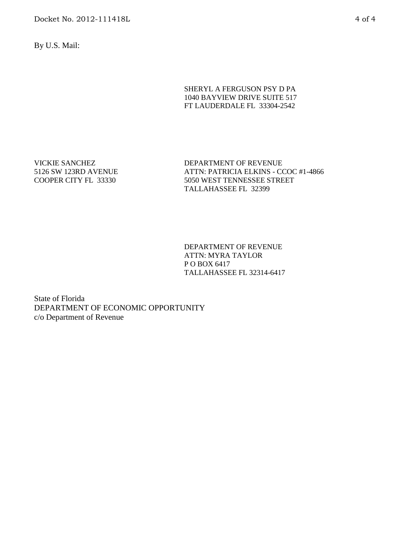By U.S. Mail:

#### SHERYL A FERGUSON PSY D PA 1040 BAYVIEW DRIVE SUITE 517 FT LAUDERDALE FL 33304-2542

VICKIE SANCHEZ 5126 SW 123RD AVENUE COOPER CITY FL 33330

DEPARTMENT OF REVENUE ATTN: PATRICIA ELKINS - CCOC #1-4866 5050 WEST TENNESSEE STREET TALLAHASSEE FL 32399

DEPARTMENT OF REVENUE ATTN: MYRA TAYLOR P O BOX 6417 TALLAHASSEE FL 32314-6417

State of Florida DEPARTMENT OF ECONOMIC OPPORTUNITY c/o Department of Revenue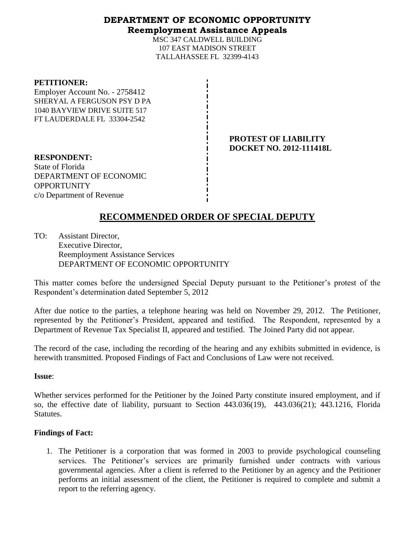## **DEPARTMENT OF ECONOMIC OPPORTUNITY Reemployment Assistance Appeals**

MSC 347 CALDWELL BUILDING 107 EAST MADISON STREET TALLAHASSEE FL 32399-4143

#### **PETITIONER:**

Employer Account No. - 2758412 SHERYAL A FERGUSON PSY D PA 1040 BAYVIEW DRIVE SUITE 517 FT LAUDERDALE FL 33304-2542

## **PROTEST OF LIABILITY DOCKET NO. 2012-111418L**

**RESPONDENT:** State of Florida DEPARTMENT OF ECONOMIC OPPORTUNITY c/o Department of Revenue

# **RECOMMENDED ORDER OF SPECIAL DEPUTY**

TO: Assistant Director, Executive Director, Reemployment Assistance Services DEPARTMENT OF ECONOMIC OPPORTUNITY

This matter comes before the undersigned Special Deputy pursuant to the Petitioner's protest of the Respondent's determination dated September 5, 2012

After due notice to the parties, a telephone hearing was held on November 29, 2012. The Petitioner, represented by the Petitioner's President, appeared and testified. The Respondent, represented by a Department of Revenue Tax Specialist II, appeared and testified. The Joined Party did not appear.

The record of the case, including the recording of the hearing and any exhibits submitted in evidence, is herewith transmitted. Proposed Findings of Fact and Conclusions of Law were not received.

### **Issue**:

Whether services performed for the Petitioner by the Joined Party constitute insured employment, and if so, the effective date of liability, pursuant to Section 443.036(19), 443.036(21); 443.1216, Florida Statutes.

### **Findings of Fact:**

1. The Petitioner is a corporation that was formed in 2003 to provide psychological counseling services. The Petitioner's services are primarily furnished under contracts with various governmental agencies. After a client is referred to the Petitioner by an agency and the Petitioner performs an initial assessment of the client, the Petitioner is required to complete and submit a report to the referring agency.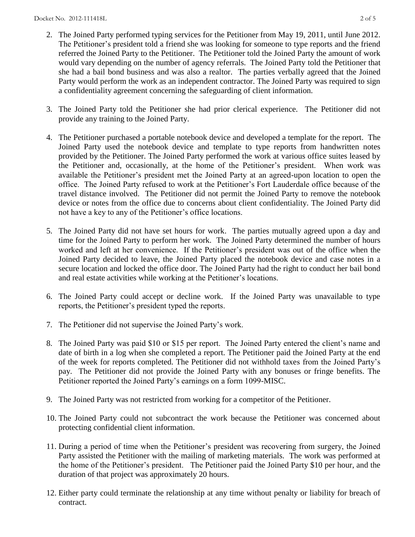- 2. The Joined Party performed typing services for the Petitioner from May 19, 2011, until June 2012. The Petitioner's president told a friend she was looking for someone to type reports and the friend referred the Joined Party to the Petitioner. The Petitioner told the Joined Party the amount of work would vary depending on the number of agency referrals. The Joined Party told the Petitioner that she had a bail bond business and was also a realtor. The parties verbally agreed that the Joined Party would perform the work as an independent contractor. The Joined Party was required to sign a confidentiality agreement concerning the safeguarding of client information.
- 3. The Joined Party told the Petitioner she had prior clerical experience. The Petitioner did not provide any training to the Joined Party.
- 4. The Petitioner purchased a portable notebook device and developed a template for the report. The Joined Party used the notebook device and template to type reports from handwritten notes provided by the Petitioner. The Joined Party performed the work at various office suites leased by the Petitioner and, occasionally, at the home of the Petitioner's president. When work was available the Petitioner's president met the Joined Party at an agreed-upon location to open the office. The Joined Party refused to work at the Petitioner's Fort Lauderdale office because of the travel distance involved. The Petitioner did not permit the Joined Party to remove the notebook device or notes from the office due to concerns about client confidentiality. The Joined Party did not have a key to any of the Petitioner's office locations.
- 5. The Joined Party did not have set hours for work. The parties mutually agreed upon a day and time for the Joined Party to perform her work. The Joined Party determined the number of hours worked and left at her convenience. If the Petitioner's president was out of the office when the Joined Party decided to leave, the Joined Party placed the notebook device and case notes in a secure location and locked the office door. The Joined Party had the right to conduct her bail bond and real estate activities while working at the Petitioner's locations.
- 6. The Joined Party could accept or decline work. If the Joined Party was unavailable to type reports, the Petitioner's president typed the reports.
- 7. The Petitioner did not supervise the Joined Party's work.
- 8. The Joined Party was paid \$10 or \$15 per report. The Joined Party entered the client's name and date of birth in a log when she completed a report. The Petitioner paid the Joined Party at the end of the week for reports completed. The Petitioner did not withhold taxes from the Joined Party's pay. The Petitioner did not provide the Joined Party with any bonuses or fringe benefits. The Petitioner reported the Joined Party's earnings on a form 1099-MISC.
- 9. The Joined Party was not restricted from working for a competitor of the Petitioner.
- 10. The Joined Party could not subcontract the work because the Petitioner was concerned about protecting confidential client information.
- 11. During a period of time when the Petitioner's president was recovering from surgery, the Joined Party assisted the Petitioner with the mailing of marketing materials. The work was performed at the home of the Petitioner's president. The Petitioner paid the Joined Party \$10 per hour, and the duration of that project was approximately 20 hours.
- 12. Either party could terminate the relationship at any time without penalty or liability for breach of contract.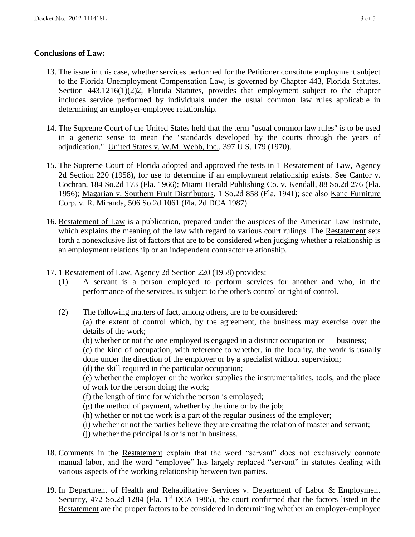## **Conclusions of Law:**

- 13. The issue in this case, whether services performed for the Petitioner constitute employment subject to the Florida Unemployment Compensation Law, is governed by Chapter 443, Florida Statutes. Section 443.1216(1)(2)2, Florida Statutes, provides that employment subject to the chapter includes service performed by individuals under the usual common law rules applicable in determining an employer-employee relationship.
- 14. The Supreme Court of the United States held that the term "usual common law rules" is to be used in a generic sense to mean the "standards developed by the courts through the years of adjudication." United States v. W.M. Webb, Inc., 397 U.S. 179 (1970).
- 15. The Supreme Court of Florida adopted and approved the tests in 1 Restatement of Law, Agency 2d Section 220 (1958), for use to determine if an employment relationship exists. See Cantor v. Cochran, 184 So.2d 173 (Fla. 1966); Miami Herald Publishing Co. v. Kendall, 88 So.2d 276 (Fla. 1956); Magarian v. Southern Fruit Distributors, 1 So.2d 858 (Fla. 1941); see also Kane Furniture Corp. v. R. Miranda, 506 So.2d 1061 (Fla. 2d DCA 1987).
- 16. Restatement of Law is a publication, prepared under the auspices of the American Law Institute, which explains the meaning of the law with regard to various court rulings. The Restatement sets forth a nonexclusive list of factors that are to be considered when judging whether a relationship is an employment relationship or an independent contractor relationship.
- 17. 1 Restatement of Law, Agency 2d Section 220 (1958) provides:
	- (1) A servant is a person employed to perform services for another and who, in the performance of the services, is subject to the other's control or right of control.
	- (2) The following matters of fact, among others, are to be considered: (a) the extent of control which, by the agreement, the business may exercise over the details of the work;
		- (b) whether or not the one employed is engaged in a distinct occupation or business;

(c) the kind of occupation, with reference to whether, in the locality, the work is usually done under the direction of the employer or by a specialist without supervision;

(d) the skill required in the particular occupation;

(e) whether the employer or the worker supplies the instrumentalities, tools, and the place of work for the person doing the work;

- (f) the length of time for which the person is employed;
- (g) the method of payment, whether by the time or by the job;
- (h) whether or not the work is a part of the regular business of the employer;
- (i) whether or not the parties believe they are creating the relation of master and servant;
- (j) whether the principal is or is not in business.
- 18. Comments in the Restatement explain that the word "servant" does not exclusively connote manual labor, and the word "employee" has largely replaced "servant" in statutes dealing with various aspects of the working relationship between two parties.
- 19. In Department of Health and Rehabilitative Services v. Department of Labor & Employment Security, 472 So.2d 1284 (Fla. 1<sup>st</sup> DCA 1985), the court confirmed that the factors listed in the Restatement are the proper factors to be considered in determining whether an employer-employee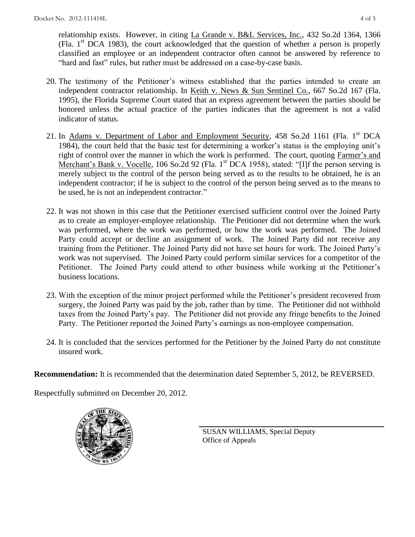relationship exists. However, in citing La Grande v. B&L Services, Inc., 432 So.2d 1364, 1366 (Fla.  $1<sup>st</sup> DCA$  1983), the court acknowledged that the question of whether a person is properly classified an employee or an independent contractor often cannot be answered by reference to "hard and fast" rules, but rather must be addressed on a case-by-case basis.

- 20. The testimony of the Petitioner's witness established that the parties intended to create an independent contractor relationship. In Keith v. News & Sun Sentinel Co., 667 So.2d 167 (Fla. 1995), the Florida Supreme Court stated that an express agreement between the parties should be honored unless the actual practice of the parties indicates that the agreement is not a valid indicator of status.
- 21. In Adams v. Department of Labor and Employment Security, 458 So.2d 1161 (Fla. 1<sup>st</sup> DCA 1984), the court held that the basic test for determining a worker's status is the employing unit's right of control over the manner in which the work is performed. The court, quoting Farmer's and Merchant's Bank v. Vocelle, 106 So.2d 92 (Fla. 1<sup>st</sup> DCA 1958), stated: "[I]f the person serving is merely subject to the control of the person being served as to the results to be obtained, he is an independent contractor; if he is subject to the control of the person being served as to the means to be used, he is not an independent contractor."
- 22. It was not shown in this case that the Petitioner exercised sufficient control over the Joined Party as to create an employer-employee relationship. The Petitioner did not determine when the work was performed, where the work was performed, or how the work was performed. The Joined Party could accept or decline an assignment of work. The Joined Party did not receive any training from the Petitioner. The Joined Party did not have set hours for work. The Joined Party's work was not supervised. The Joined Party could perform similar services for a competitor of the Petitioner. The Joined Party could attend to other business while working at the Petitioner's business locations.
- 23. With the exception of the minor project performed while the Petitioner's president recovered from surgery, the Joined Party was paid by the job, rather than by time. The Petitioner did not withhold taxes from the Joined Party's pay. The Petitioner did not provide any fringe benefits to the Joined Party. The Petitioner reported the Joined Party's earnings as non-employee compensation.
- 24. It is concluded that the services performed for the Petitioner by the Joined Party do not constitute insured work.

**Recommendation:** It is recommended that the determination dated September 5, 2012, be REVERSED.

Respectfully submitted on December 20, 2012.



SUSAN WILLIAMS, Special Deputy Office of Appeals